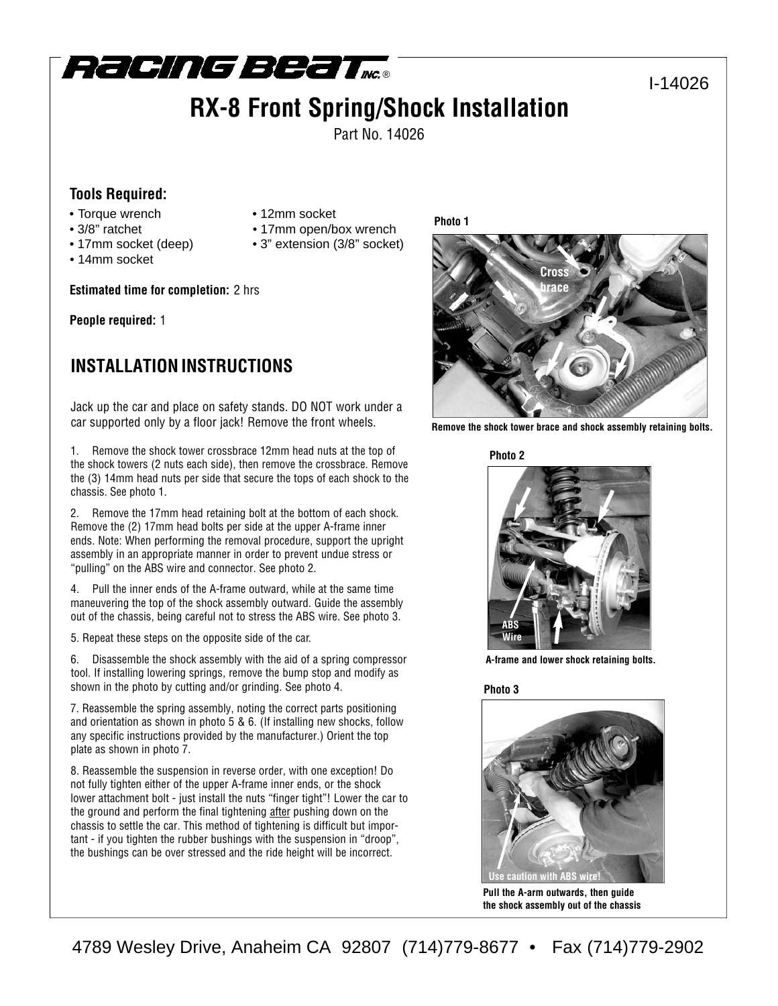

# **RX-8 Front Spring/Shock Installation**

Part No. 14026

#### **Tools Required:**

- Torque wrench 12mm socket
- 
- 
- 14mm socket

**Estimated time for completion:** 2 hrs

**People required:** 1

## **INSTALLATION INSTRUCTIONS**

Jack up the car and place on safety stands. DO NOT work under a car supported only by a floor jack! Remove the front wheels.

1. Remove the shock tower crossbrace 12mm head nuts at the top of the shock towers (2 nuts each side), then remove the crossbrace. Remove the (3) 14mm head nuts per side that secure the tops of each shock to the chassis. See photo 1.

2. Remove the 17mm head retaining bolt at the bottom of each shock. Remove the (2) 17mm head bolts per side at the upper A-frame inner ends. Note: When performing the removal procedure, support the upright assembly in an appropriate manner in order to prevent undue stress or "pulling" on the ABS wire and connector. See photo 2.

4. Pull the inner ends of the A-frame outward, while at the same time maneuvering the top of the shock assembly outward. Guide the assembly out of the chassis, being careful not to stress the ABS wire. See photo 3.

5. Repeat these steps on the opposite side of the car.

6. Disassemble the shock assembly with the aid of a spring compressor tool. If installing lowering springs, remove the bump stop and modify as shown in the photo by cutting and/or grinding. See photo 4.

7. Reassemble the spring assembly, noting the correct parts positioning and orientation as shown in photo 5 & 6. (If installing new shocks, follow any specific instructions provided by the manufacturer.) Orient the top plate as shown in photo 7.

8. Reassemble the suspension in reverse order, with one exception! Do not fully tighten either of the upper A-frame inner ends, or the shock lower attachment bolt - just install the nuts "finger tight"! Lower the car to the ground and perform the final tightening after pushing down on the chassis to settle the car. This method of tightening is difficult but important - if you tighten the rubber bushings with the suspension in "droop", the bushings can be over stressed and the ride height will be incorrect.



I-14026

**Remove the shock tower brace and shock assembly retaining bolts.**

**Photo 2**



**A-frame and lower shock retaining bolts.**

**Photo 3**



**Pull the A-arm outwards, then guide the shock assembly out of the chassis**

### • 3/8" ratchet • 17mm open/box wrench • 17mm socket (deep) • 3" extension (3/8" socket) **Photo 1**

4789 Wesley Drive, Anaheim CA 92807 (714)779-8677 • Fax (714)779-2902